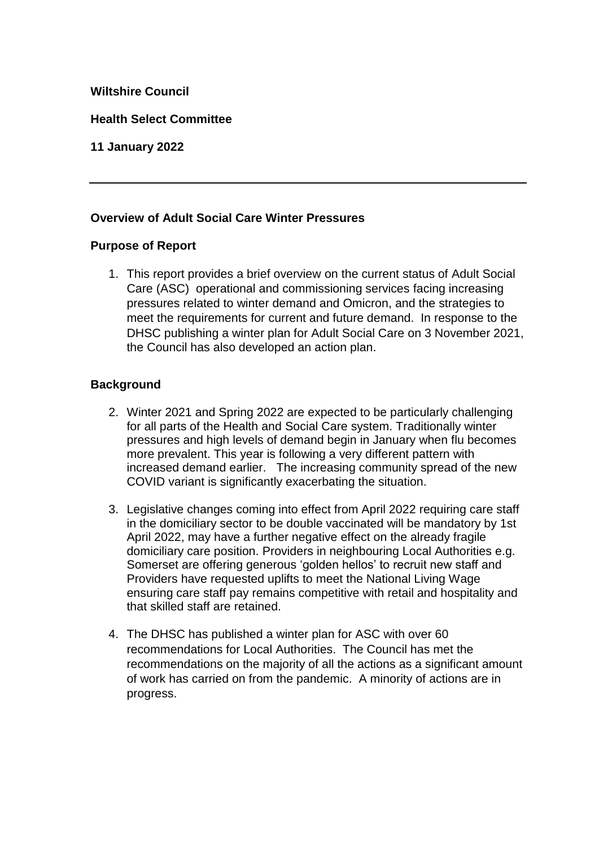### **Wiltshire Council**

**Health Select Committee** 

## **11 January 2022**

## **Overview of Adult Social Care Winter Pressures**

### **Purpose of Report**

1. This report provides a brief overview on the current status of Adult Social Care (ASC) operational and commissioning services facing increasing pressures related to winter demand and Omicron, and the strategies to meet the requirements for current and future demand. In response to the DHSC publishing a winter plan for Adult Social Care on 3 November 2021, the Council has also developed an action plan.

### **Background**

- 2. Winter 2021 and Spring 2022 are expected to be particularly challenging for all parts of the Health and Social Care system. Traditionally winter pressures and high levels of demand begin in January when flu becomes more prevalent. This year is following a very different pattern with increased demand earlier. The increasing community spread of the new COVID variant is significantly exacerbating the situation.
- 3. Legislative changes coming into effect from April 2022 requiring care staff in the domiciliary sector to be double vaccinated will be mandatory by 1st April 2022, may have a further negative effect on the already fragile domiciliary care position. Providers in neighbouring Local Authorities e.g. Somerset are offering generous 'golden hellos' to recruit new staff and Providers have requested uplifts to meet the National Living Wage ensuring care staff pay remains competitive with retail and hospitality and that skilled staff are retained.
- 4. The DHSC has published a winter plan for ASC with over 60 recommendations for Local Authorities. The Council has met the recommendations on the majority of all the actions as a significant amount of work has carried on from the pandemic. A minority of actions are in progress.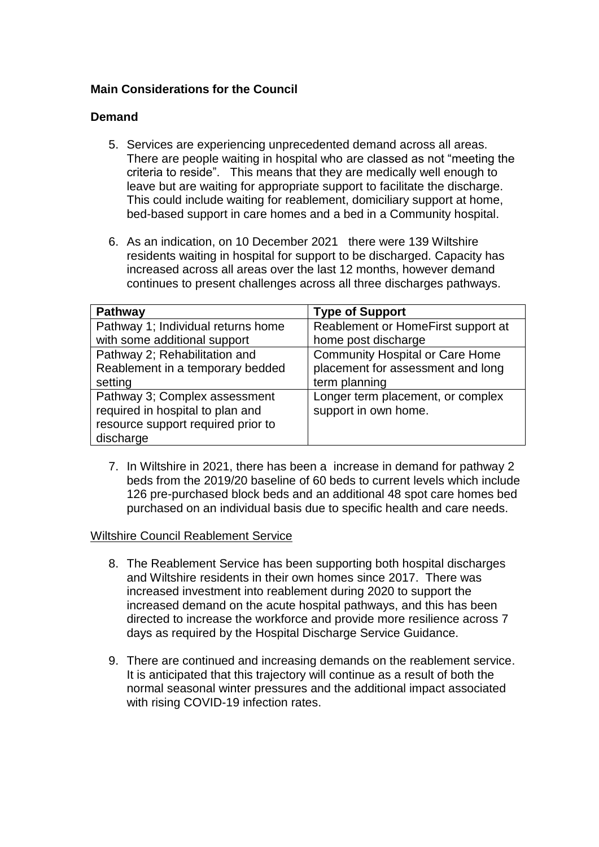## **Main Considerations for the Council**

### **Demand**

- 5. Services are experiencing unprecedented demand across all areas. There are people waiting in hospital who are classed as not "meeting the criteria to reside". This means that they are medically well enough to leave but are waiting for appropriate support to facilitate the discharge. This could include waiting for reablement, domiciliary support at home, bed-based support in care homes and a bed in a Community hospital.
- 6. As an indication, on 10 December 2021 there were 139 Wiltshire residents waiting in hospital for support to be discharged. Capacity has increased across all areas over the last 12 months, however demand continues to present challenges across all three discharges pathways.

| <b>Pathway</b>                     | <b>Type of Support</b>                 |
|------------------------------------|----------------------------------------|
| Pathway 1; Individual returns home | Reablement or HomeFirst support at     |
| with some additional support       | home post discharge                    |
| Pathway 2; Rehabilitation and      | <b>Community Hospital or Care Home</b> |
| Reablement in a temporary bedded   | placement for assessment and long      |
| setting                            | term planning                          |
| Pathway 3; Complex assessment      | Longer term placement, or complex      |
| required in hospital to plan and   | support in own home.                   |
| resource support required prior to |                                        |
| discharge                          |                                        |

7. In Wiltshire in 2021, there has been a increase in demand for pathway 2 beds from the 2019/20 baseline of 60 beds to current levels which include 126 pre-purchased block beds and an additional 48 spot care homes bed purchased on an individual basis due to specific health and care needs.

#### Wiltshire Council Reablement Service

- 8. The Reablement Service has been supporting both hospital discharges and Wiltshire residents in their own homes since 2017. There was increased investment into reablement during 2020 to support the increased demand on the acute hospital pathways, and this has been directed to increase the workforce and provide more resilience across 7 days as required by the Hospital Discharge Service Guidance.
- 9. There are continued and increasing demands on the reablement service. It is anticipated that this trajectory will continue as a result of both the normal seasonal winter pressures and the additional impact associated with rising COVID-19 infection rates.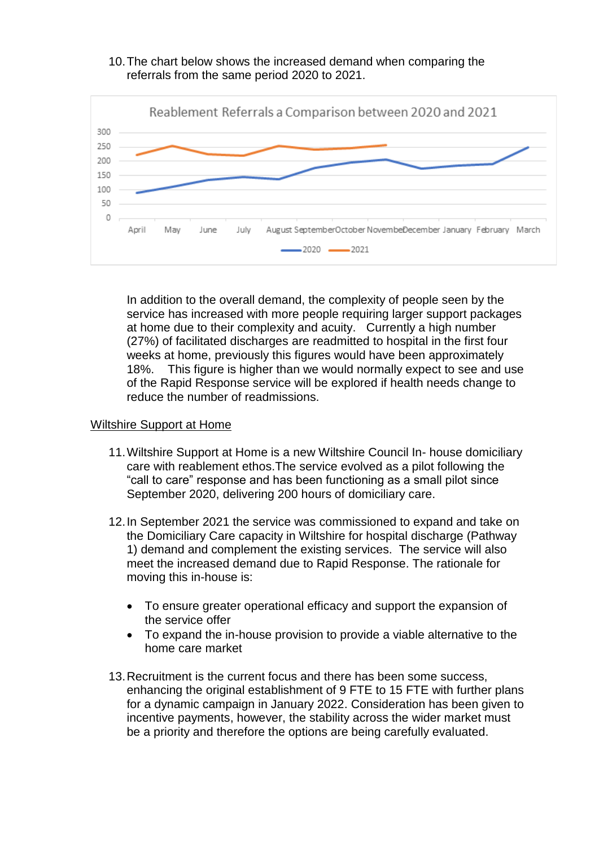



In addition to the overall demand, the complexity of people seen by the service has increased with more people requiring larger support packages at home due to their complexity and acuity. Currently a high number (27%) of facilitated discharges are readmitted to hospital in the first four weeks at home, previously this figures would have been approximately 18%. This figure is higher than we would normally expect to see and use of the Rapid Response service will be explored if health needs change to reduce the number of readmissions.

#### Wiltshire Support at Home

- 11.Wiltshire Support at Home is a new Wiltshire Council In- house domiciliary care with reablement ethos.The service evolved as a pilot following the "call to care" response and has been functioning as a small pilot since September 2020, delivering 200 hours of domiciliary care.
- 12.In September 2021 the service was commissioned to expand and take on the Domiciliary Care capacity in Wiltshire for hospital discharge (Pathway 1) demand and complement the existing services. The service will also meet the increased demand due to Rapid Response. The rationale for moving this in-house is:
	- To ensure greater operational efficacy and support the expansion of the service offer
	- To expand the in-house provision to provide a viable alternative to the home care market
- 13.Recruitment is the current focus and there has been some success, enhancing the original establishment of 9 FTE to 15 FTE with further plans for a dynamic campaign in January 2022. Consideration has been given to incentive payments, however, the stability across the wider market must be a priority and therefore the options are being carefully evaluated.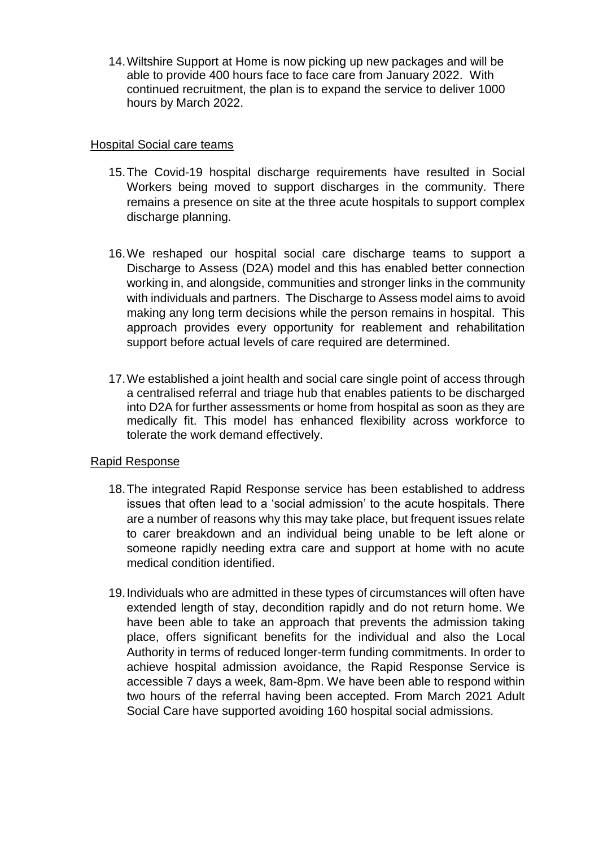14.Wiltshire Support at Home is now picking up new packages and will be able to provide 400 hours face to face care from January 2022. With continued recruitment, the plan is to expand the service to deliver 1000 hours by March 2022.

### Hospital Social care teams

- 15.The Covid-19 hospital discharge requirements have resulted in Social Workers being moved to support discharges in the community. There remains a presence on site at the three acute hospitals to support complex discharge planning.
- 16.We reshaped our hospital social care discharge teams to support a Discharge to Assess (D2A) model and this has enabled better connection working in, and alongside, communities and stronger links in the community with individuals and partners. The Discharge to Assess model aims to avoid making any long term decisions while the person remains in hospital. This approach provides every opportunity for reablement and rehabilitation support before actual levels of care required are determined.
- 17.We established a joint health and social care single point of access through a centralised referral and triage hub that enables patients to be discharged into D2A for further assessments or home from hospital as soon as they are medically fit. This model has enhanced flexibility across workforce to tolerate the work demand effectively.

### Rapid Response

- 18.The integrated Rapid Response service has been established to address issues that often lead to a 'social admission' to the acute hospitals. There are a number of reasons why this may take place, but frequent issues relate to carer breakdown and an individual being unable to be left alone or someone rapidly needing extra care and support at home with no acute medical condition identified.
- 19.Individuals who are admitted in these types of circumstances will often have extended length of stay, decondition rapidly and do not return home. We have been able to take an approach that prevents the admission taking place, offers significant benefits for the individual and also the Local Authority in terms of reduced longer-term funding commitments. In order to achieve hospital admission avoidance, the Rapid Response Service is accessible 7 days a week, 8am-8pm. We have been able to respond within two hours of the referral having been accepted. From March 2021 Adult Social Care have supported avoiding 160 hospital social admissions.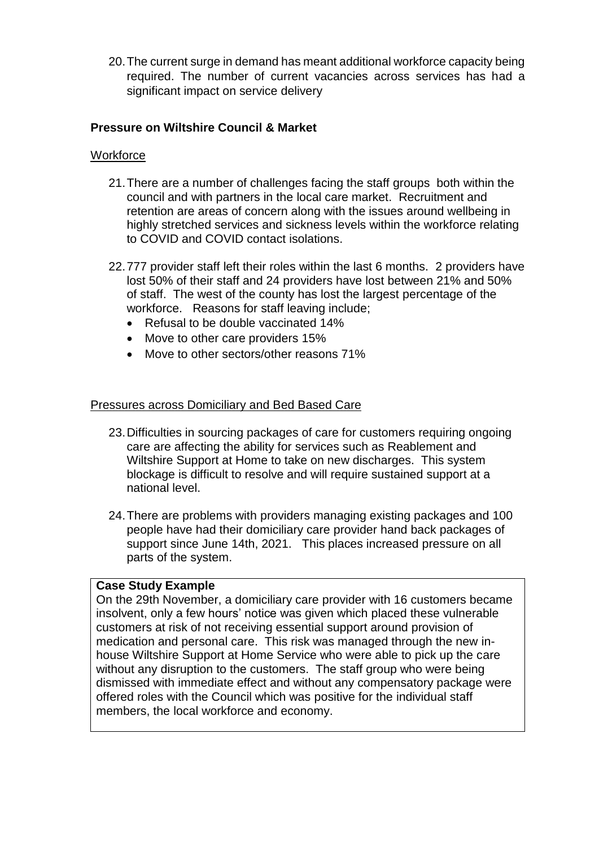20.The current surge in demand has meant additional workforce capacity being required. The number of current vacancies across services has had a significant impact on service delivery

## **Pressure on Wiltshire Council & Market**

### **Workforce**

- 21.There are a number of challenges facing the staff groups both within the council and with partners in the local care market. Recruitment and retention are areas of concern along with the issues around wellbeing in highly stretched services and sickness levels within the workforce relating to COVID and COVID contact isolations.
- 22.777 provider staff left their roles within the last 6 months. 2 providers have lost 50% of their staff and 24 providers have lost between 21% and 50% of staff. The west of the county has lost the largest percentage of the workforce. Reasons for staff leaving include;
	- Refusal to be double vaccinated 14%
	- Move to other care providers 15%
	- Move to other sectors/other reasons 71%

### Pressures across Domiciliary and Bed Based Care

- 23.Difficulties in sourcing packages of care for customers requiring ongoing care are affecting the ability for services such as Reablement and Wiltshire Support at Home to take on new discharges. This system blockage is difficult to resolve and will require sustained support at a national level.
- 24.There are problems with providers managing existing packages and 100 people have had their domiciliary care provider hand back packages of support since June 14th, 2021. This places increased pressure on all parts of the system.

### **Case Study Example**

On the 29th November, a domiciliary care provider with 16 customers became insolvent, only a few hours' notice was given which placed these vulnerable customers at risk of not receiving essential support around provision of medication and personal care. This risk was managed through the new inhouse Wiltshire Support at Home Service who were able to pick up the care without any disruption to the customers. The staff group who were being dismissed with immediate effect and without any compensatory package were offered roles with the Council which was positive for the individual staff members, the local workforce and economy.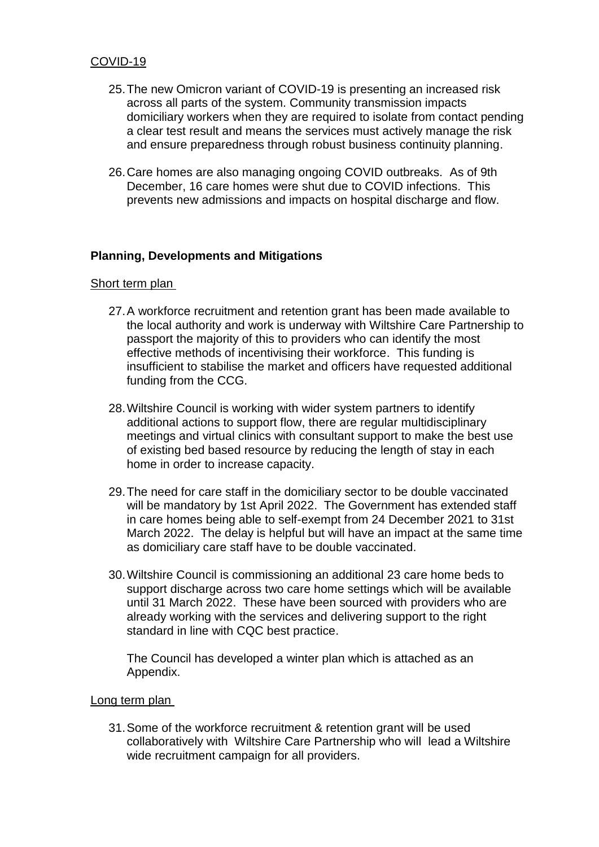## COVID-19

- 25.The new Omicron variant of COVID-19 is presenting an increased risk across all parts of the system. Community transmission impacts domiciliary workers when they are required to isolate from contact pending a clear test result and means the services must actively manage the risk and ensure preparedness through robust business continuity planning.
- 26.Care homes are also managing ongoing COVID outbreaks. As of 9th December, 16 care homes were shut due to COVID infections. This prevents new admissions and impacts on hospital discharge and flow.

### **Planning, Developments and Mitigations**

#### Short term plan

- 27.A workforce recruitment and retention grant has been made available to the local authority and work is underway with Wiltshire Care Partnership to passport the majority of this to providers who can identify the most effective methods of incentivising their workforce. This funding is insufficient to stabilise the market and officers have requested additional funding from the CCG.
- 28.Wiltshire Council is working with wider system partners to identify additional actions to support flow, there are regular multidisciplinary meetings and virtual clinics with consultant support to make the best use of existing bed based resource by reducing the length of stay in each home in order to increase capacity.
- 29.The need for care staff in the domiciliary sector to be double vaccinated will be mandatory by 1st April 2022. The Government has extended staff in care homes being able to self-exempt from 24 December 2021 to 31st March 2022. The delay is helpful but will have an impact at the same time as domiciliary care staff have to be double vaccinated.
- 30.Wiltshire Council is commissioning an additional 23 care home beds to support discharge across two care home settings which will be available until 31 March 2022. These have been sourced with providers who are already working with the services and delivering support to the right standard in line with CQC best practice.

The Council has developed a winter plan which is attached as an Appendix.

#### Long term plan

31.Some of the workforce recruitment & retention grant will be used collaboratively with Wiltshire Care Partnership who will lead a Wiltshire wide recruitment campaign for all providers.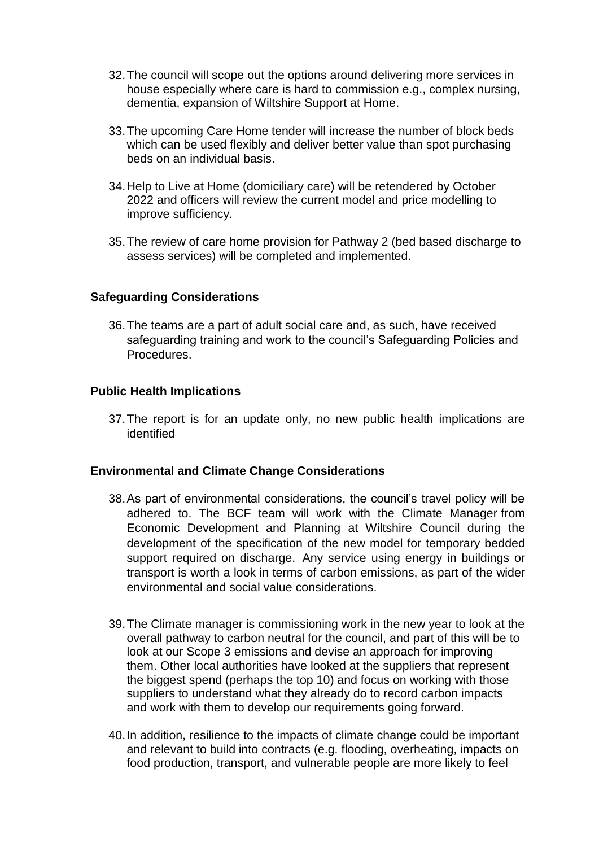- 32.The council will scope out the options around delivering more services in house especially where care is hard to commission e.g., complex nursing, dementia, expansion of Wiltshire Support at Home.
- 33.The upcoming Care Home tender will increase the number of block beds which can be used flexibly and deliver better value than spot purchasing beds on an individual basis.
- 34.Help to Live at Home (domiciliary care) will be retendered by October 2022 and officers will review the current model and price modelling to improve sufficiency.
- 35.The review of care home provision for Pathway 2 (bed based discharge to assess services) will be completed and implemented.

### **Safeguarding Considerations**

36.The teams are a part of adult social care and, as such, have received safeguarding training and work to the council's Safeguarding Policies and Procedures.

### **Public Health Implications**

37.The report is for an update only, no new public health implications are identified

### **Environmental and Climate Change Considerations**

- 38.As part of environmental considerations, the council's travel policy will be adhered to. The BCF team will work with the Climate Manager from Economic Development and Planning at Wiltshire Council during the development of the specification of the new model for temporary bedded support required on discharge. Any service using energy in buildings or transport is worth a look in terms of carbon emissions, as part of the wider environmental and social value considerations.
- 39.The Climate manager is commissioning work in the new year to look at the overall pathway to carbon neutral for the council, and part of this will be to look at our Scope 3 emissions and devise an approach for improving them. Other local authorities have looked at the suppliers that represent the biggest spend (perhaps the top 10) and focus on working with those suppliers to understand what they already do to record carbon impacts and work with them to develop our requirements going forward.
- 40.In addition, resilience to the impacts of climate change could be important and relevant to build into contracts (e.g. flooding, overheating, impacts on food production, transport, and vulnerable people are more likely to feel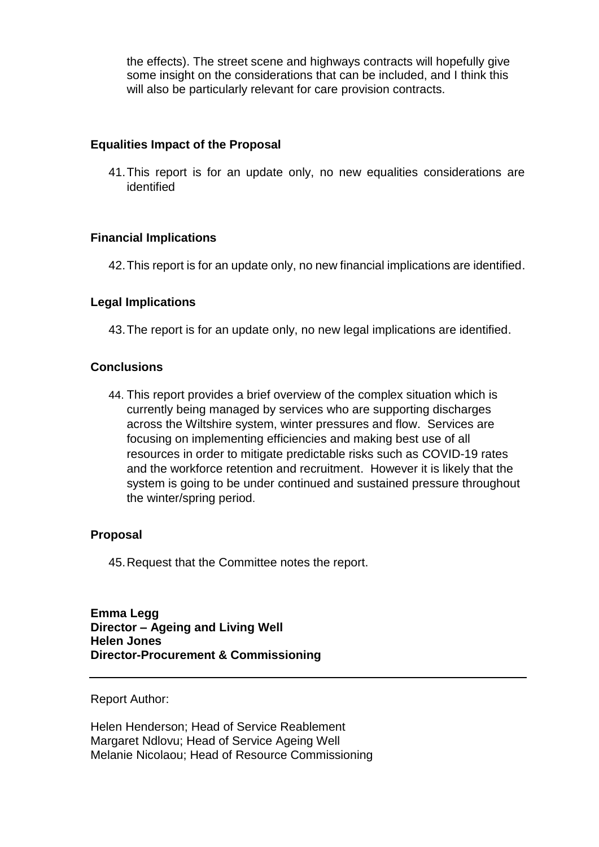the effects). The street scene and highways contracts will hopefully give some insight on the considerations that can be included, and I think this will also be particularly relevant for care provision contracts.

### **Equalities Impact of the Proposal**

41.This report is for an update only, no new equalities considerations are identified

### **Financial Implications**

42.This report is for an update only, no new financial implications are identified.

### **Legal Implications**

43.The report is for an update only, no new legal implications are identified.

### **Conclusions**

44. This report provides a brief overview of the complex situation which is currently being managed by services who are supporting discharges across the Wiltshire system, winter pressures and flow. Services are focusing on implementing efficiencies and making best use of all resources in order to mitigate predictable risks such as COVID-19 rates and the workforce retention and recruitment. However it is likely that the system is going to be under continued and sustained pressure throughout the winter/spring period.

### **Proposal**

45.Request that the Committee notes the report.

**Emma Legg Director – Ageing and Living Well Helen Jones Director-Procurement & Commissioning** 

#### Report Author:

Helen Henderson; Head of Service Reablement Margaret Ndlovu; Head of Service Ageing Well Melanie Nicolaou; Head of Resource Commissioning